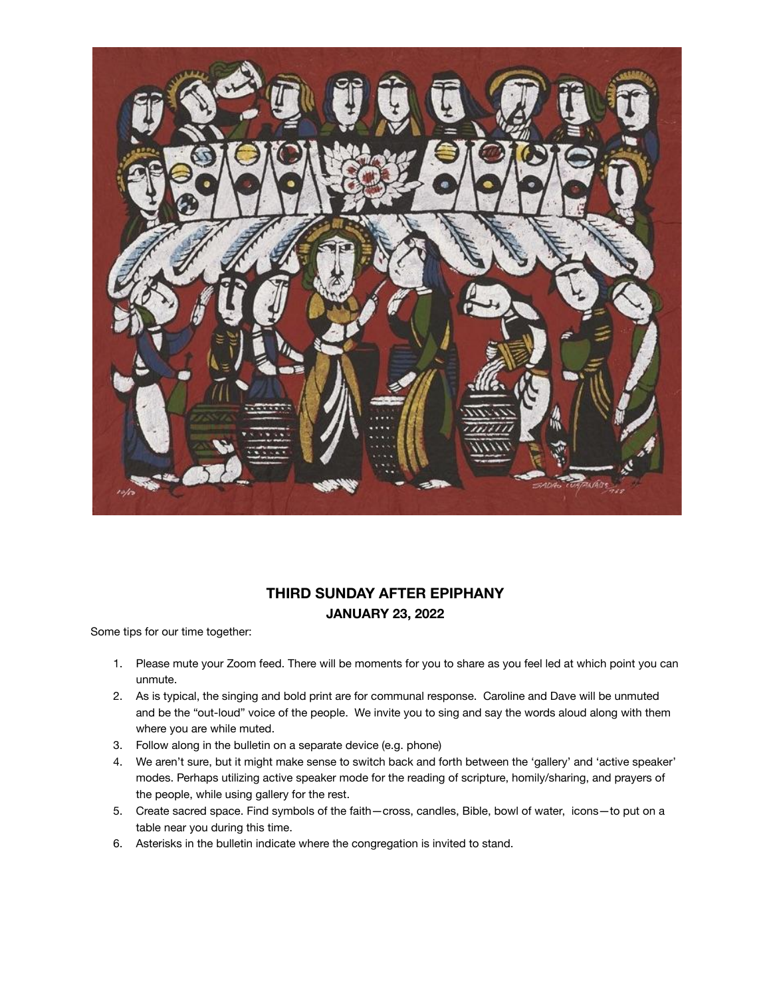

# **THIRD SUNDAY AFTER EPIPHANY JANUARY 23, 2022**

Some tips for our time together:

- 1. Please mute your Zoom feed. There will be moments for you to share as you feel led at which point you can unmute.
- 2. As is typical, the singing and bold print are for communal response. Caroline and Dave will be unmuted and be the "out-loud" voice of the people. We invite you to sing and say the words aloud along with them where you are while muted.
- 3. Follow along in the bulletin on a separate device (e.g. phone)
- 4. We aren't sure, but it might make sense to switch back and forth between the 'gallery' and 'active speaker' modes. Perhaps utilizing active speaker mode for the reading of scripture, homily/sharing, and prayers of the people, while using gallery for the rest.
- 5. Create sacred space. Find symbols of the faith—cross, candles, Bible, bowl of water, icons—to put on a table near you during this time.
- 6. Asterisks in the bulletin indicate where the congregation is invited to stand.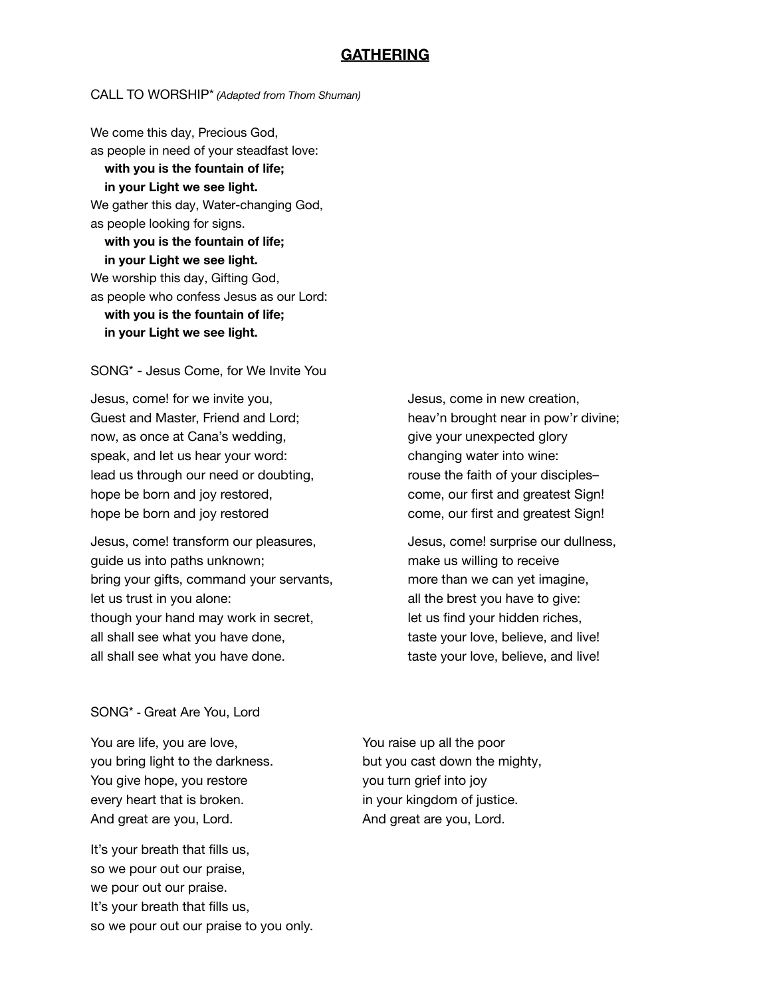### **GATHERING**

#### CALL TO WORSHIP\* *(Adapted from Thom Shuman)*

We come this day, Precious God, as people in need of your steadfast love: **with you is the fountain of life; in your Light we see light.** We gather this day, Water-changing God, as people looking for signs. **with you is the fountain of life; in your Light we see light.** We worship this day, Gifting God, as people who confess Jesus as our Lord: **with you is the fountain of life; in your Light we see light.**

SONG\* - Jesus Come, for We Invite You

Jesus, come! for we invite you, Jesus, come in new creation, Guest and Master, Friend and Lord; heav'n brought near in pow'r divine; now, as once at Cana's wedding, example the vour unexpected glory speak, and let us hear your word: changing water into wine: lead us through our need or doubting, rouse the faith of your disciples– hope be born and joy restored, come, our first and greatest Sign! hope be born and joy restored come, our first and greatest Sign!

Jesus, come! transform our pleasures, Jesus, come! surprise our dullness, guide us into paths unknown; example a make us willing to receive bring your gifts, command your servants, more than we can yet imagine, let us trust in you alone: all the brest you have to give: though your hand may work in secret, **in the secret of the set of the set of the set of the set of the set of the set of the set of the set of the set of the set of the set of the set of the set of the set of the set of th** all shall see what you have done, taste your love, believe, and live! all shall see what you have done. taste your love, believe, and live!

#### SONG\* - Great Are You, Lord

You are life, you are love, You raise up all the poor you bring light to the darkness. but you cast down the mighty, You give hope, you restore you turn grief into joy every heart that is broken.  $\blacksquare$  in your kingdom of justice. And great are you, Lord. And great are you, Lord.

It's your breath that fills us, so we pour out our praise, we pour out our praise. It's your breath that fills us, so we pour out our praise to you only.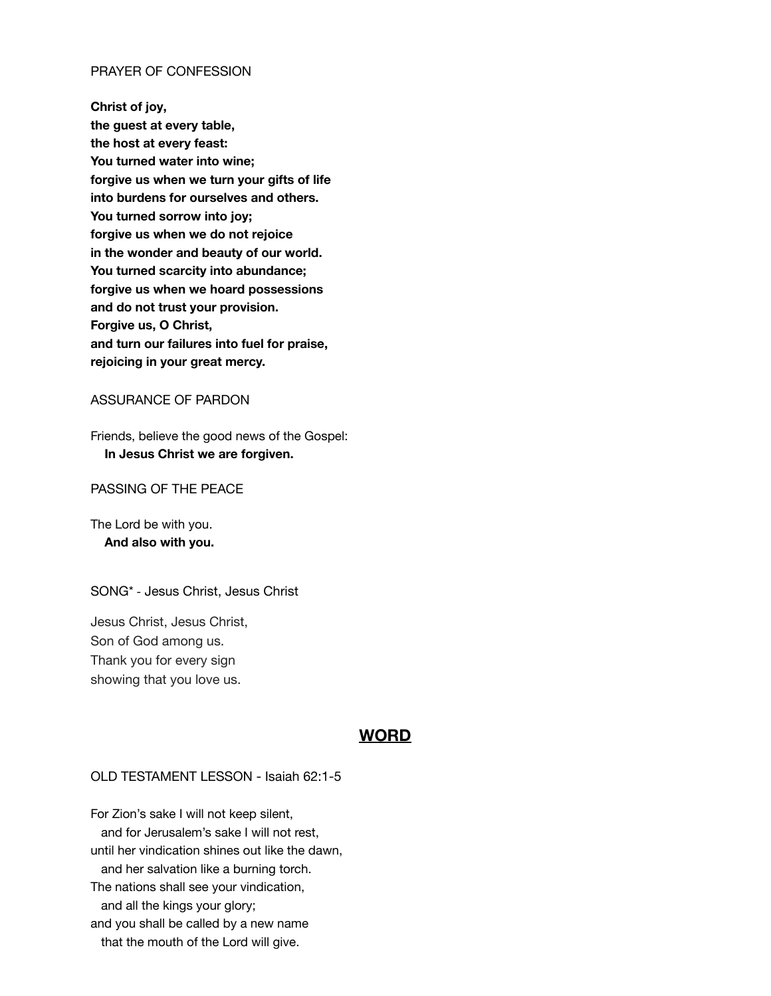### PRAYER OF CONFESSION

**Christ of joy, the guest at every table, the host at every feast: You turned water into wine; forgive us when we turn your gifts of life into burdens for ourselves and others. You turned sorrow into joy; forgive us when we do not rejoice in the wonder and beauty of our world. You turned scarcity into abundance; forgive us when we hoard possessions and do not trust your provision. Forgive us, O Christ, and turn our failures into fuel for praise, rejoicing in your great mercy.**

#### ASSURANCE OF PARDON

Friends, believe the good news of the Gospel: **In Jesus Christ we are forgiven.**

PASSING OF THE PEACE

The Lord be with you. **And also with you.**

SONG\* - Jesus Christ, Jesus Christ

Jesus Christ, Jesus Christ, Son of God among us. Thank you for every sign showing that you love us.

### **WORD**

### OLD TESTAMENT LESSON - Isaiah 62:1-5

For Zion's sake I will not keep silent, and for Jerusalem's sake I will not rest, until her vindication shines out like the dawn, and her salvation like a burning torch. The nations shall see your vindication, and all the kings your glory; and you shall be called by a new name that the mouth of the Lord will give.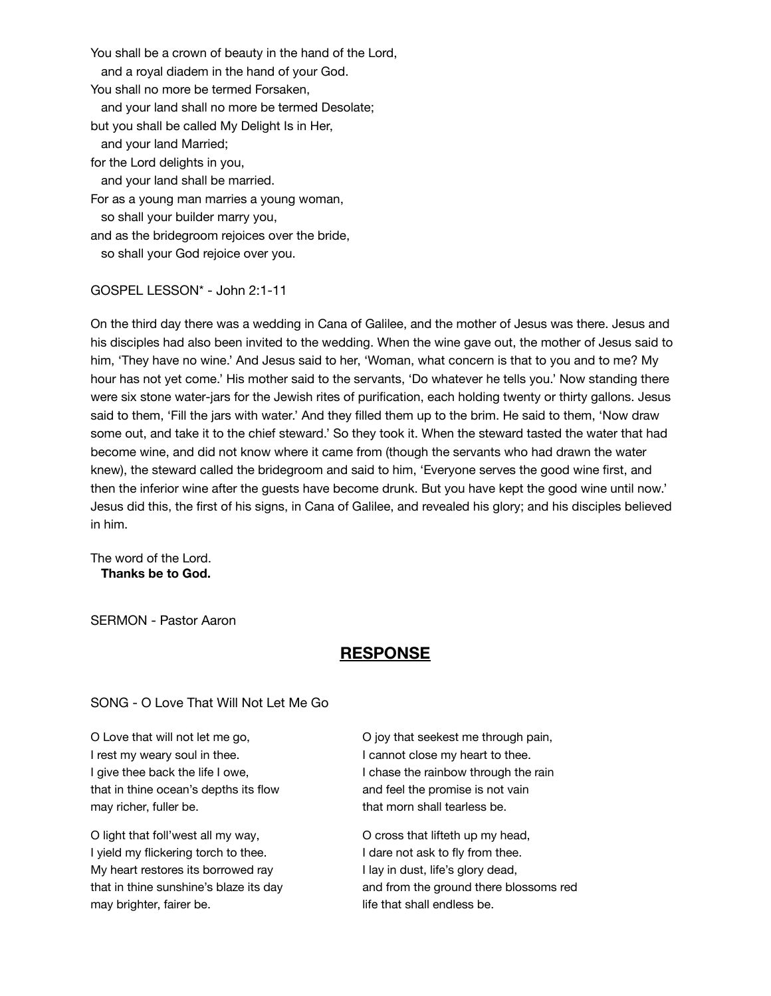You shall be a crown of beauty in the hand of the Lord, and a royal diadem in the hand of your God. You shall no more be termed Forsaken, and your land shall no more be termed Desolate; but you shall be called My Delight Is in Her, and your land Married; for the Lord delights in you, and your land shall be married. For as a young man marries a young woman, so shall your builder marry you, and as the bridegroom rejoices over the bride,

so shall your God rejoice over you.

GOSPEL LESSON\* - John 2:1-11

On the third day there was a wedding in Cana of Galilee, and the mother of Jesus was there. Jesus and his disciples had also been invited to the wedding. When the wine gave out, the mother of Jesus said to him, 'They have no wine.' And Jesus said to her, 'Woman, what concern is that to you and to me? My hour has not yet come.' His mother said to the servants, 'Do whatever he tells you.' Now standing there were six stone water-jars for the Jewish rites of purification, each holding twenty or thirty gallons. Jesus said to them, 'Fill the jars with water.' And they filled them up to the brim. He said to them, 'Now draw some out, and take it to the chief steward.' So they took it. When the steward tasted the water that had become wine, and did not know where it came from (though the servants who had drawn the water knew), the steward called the bridegroom and said to him, 'Everyone serves the good wine first, and then the inferior wine after the guests have become drunk. But you have kept the good wine until now.' Jesus did this, the first of his signs, in Cana of Galilee, and revealed his glory; and his disciples believed in him.

The word of the Lord. **Thanks be to God.**

SERMON - Pastor Aaron

## **RESPONSE**

#### SONG - O Love That Will Not Let Me Go

O Love that will not let me go, O joy that seekest me through pain, I rest my weary soul in thee. I cannot close my heart to thee. that in thine ocean's depths its flow and feel the promise is not vain may richer, fuller be. that morn shall tearless be.

O light that foll'west all my way,  $\overline{O}$  cross that lifteth up my head, I yield my flickering torch to thee. I dare not ask to fly from thee. My heart restores its borrowed ray I lay in dust, life's glory dead, may brighter, fairer be. life that shall endless be.

I give thee back the life I owe, I chase the rainbow through the rain

that in thine sunshine's blaze its day and from the ground there blossoms red